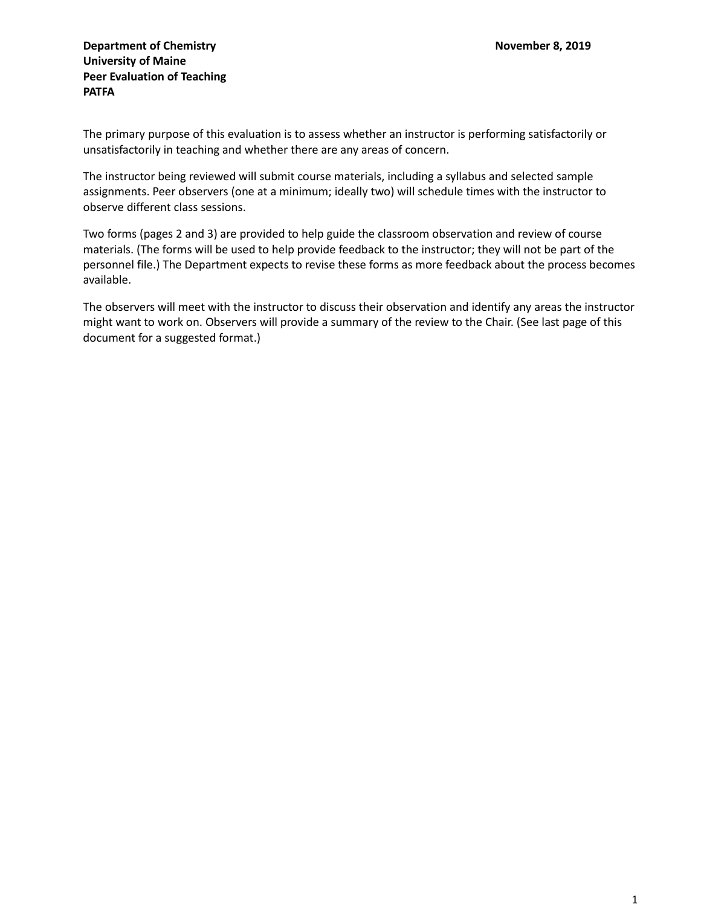The primary purpose of this evaluation is to assess whether an instructor is performing satisfactorily or unsatisfactorily in teaching and whether there are any areas of concern.

The instructor being reviewed will submit course materials, including a syllabus and selected sample assignments. Peer observers (one at a minimum; ideally two) will schedule times with the instructor to observe different class sessions.

Two forms (pages 2 and 3) are provided to help guide the classroom observation and review of course materials. (The forms will be used to help provide feedback to the instructor; they will not be part of the personnel file.) The Department expects to revise these forms as more feedback about the process becomes available.

The observers will meet with the instructor to discuss their observation and identify any areas the instructor might want to work on. Observers will provide a summary of the review to the Chair. (See last page of this document for a suggested format.)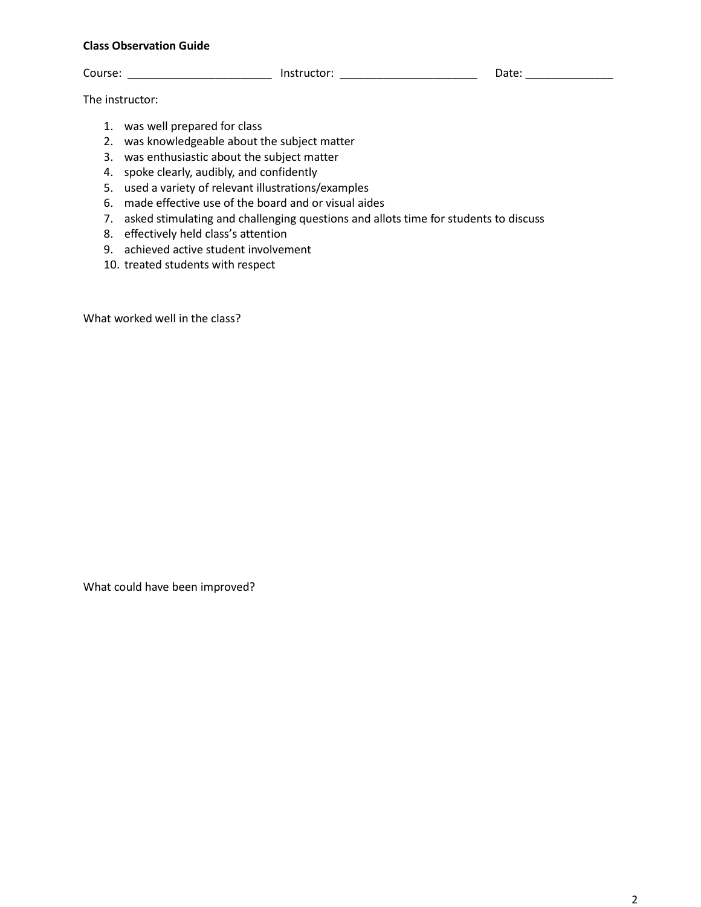## **Class Observation Guide**

Course: \_\_\_\_\_\_\_\_\_\_\_\_\_\_\_\_\_\_\_\_\_\_\_\_\_\_\_ Instructor: \_\_\_\_\_\_\_\_\_\_\_\_\_\_\_\_\_\_\_\_\_\_\_\_\_\_\_\_\_\_\_\_ Date: \_\_\_\_\_\_\_\_\_\_\_\_\_\_\_\_\_\_\_\_\_\_

The instructor:

- 1. was well prepared for class
- 2. was knowledgeable about the subject matter
- 3. was enthusiastic about the subject matter
- 4. spoke clearly, audibly, and confidently
- 5. used a variety of relevant illustrations/examples
- 6. made effective use of the board and or visual aides
- 7. asked stimulating and challenging questions and allots time for students to discuss
- 8. effectively held class's attention
- 9. achieved active student involvement
- 10. treated students with respect

What worked well in the class?

What could have been improved?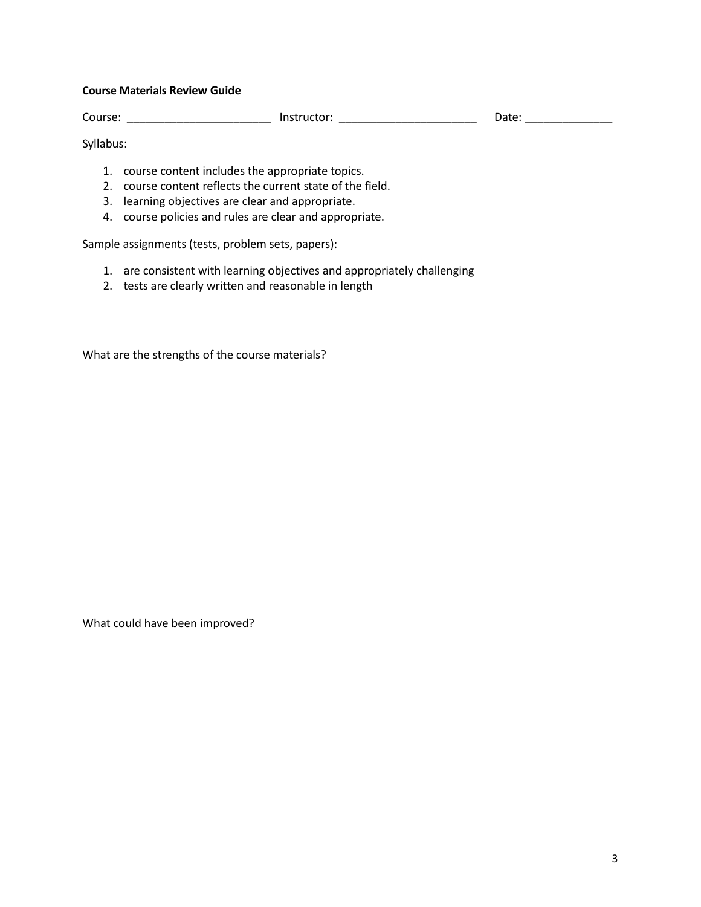## **Course Materials Review Guide**

Course: \_\_\_\_\_\_\_\_\_\_\_\_\_\_\_\_\_\_\_\_\_\_\_\_\_\_\_\_ Instructor: \_\_\_\_\_\_\_\_\_\_\_\_\_\_\_\_\_\_\_\_\_\_\_\_\_\_\_\_\_\_\_ Date: \_\_\_\_\_\_\_\_\_\_\_\_\_\_\_\_\_\_\_\_\_\_

Syllabus:

- 1. course content includes the appropriate topics.
- 2. course content reflects the current state of the field.
- 3. learning objectives are clear and appropriate.
- 4. course policies and rules are clear and appropriate.

Sample assignments (tests, problem sets, papers):

- 1. are consistent with learning objectives and appropriately challenging
- 2. tests are clearly written and reasonable in length

What are the strengths of the course materials?

What could have been improved?